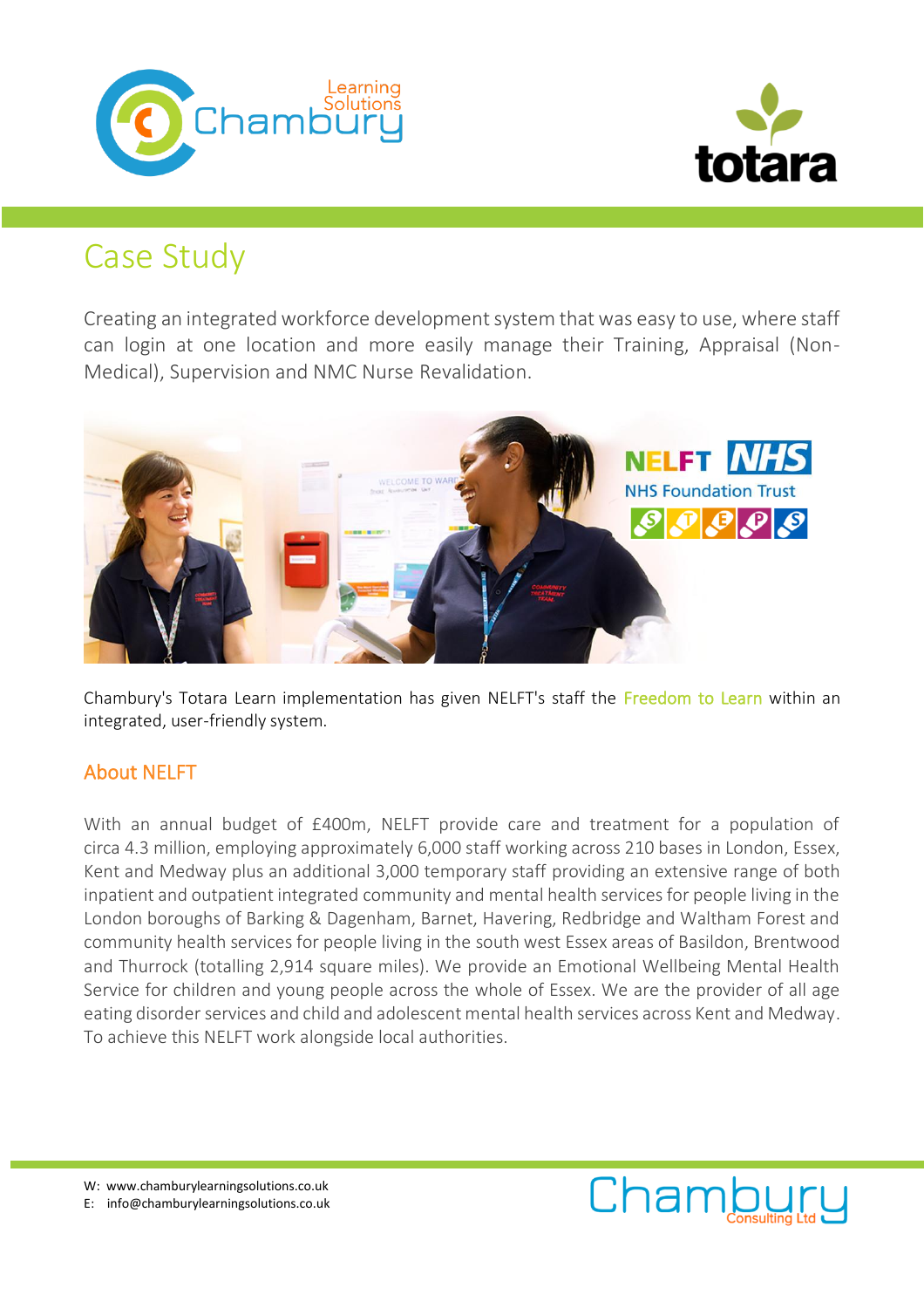



# Case Study

Creating an integrated workforce development system that was easy to use, where staff can login at one location and more easily manage their Training, Appraisal (Non-Medical), Supervision and NMC Nurse Revalidation.



Chambury's Totara Learn implementation has given NELFT's staff the Freedom to Learn within an integrated, user-friendly system.

## About NELFT

With an annual budget of £400m, NELFT provide care and treatment for a population of circa 4.3 million, employing approximately 6,000 staff working across 210 bases in London, Essex, Kent and Medway plus an additional 3,000 temporary staff providing an extensive range of both inpatient and outpatient integrated community and mental health services for people living in the London boroughs of Barking & Dagenham, Barnet, Havering, Redbridge and Waltham Forest and community health services for people living in the south west Essex areas of Basildon, Brentwood and Thurrock (totalling 2,914 square miles). We provide an Emotional Wellbeing Mental Health Service for children and young people across the whole of Essex. We are the provider of all age eating disorder services and child and adolescent mental health services across Kent and Medway. To achieve this NELFT work alongside local authorities.



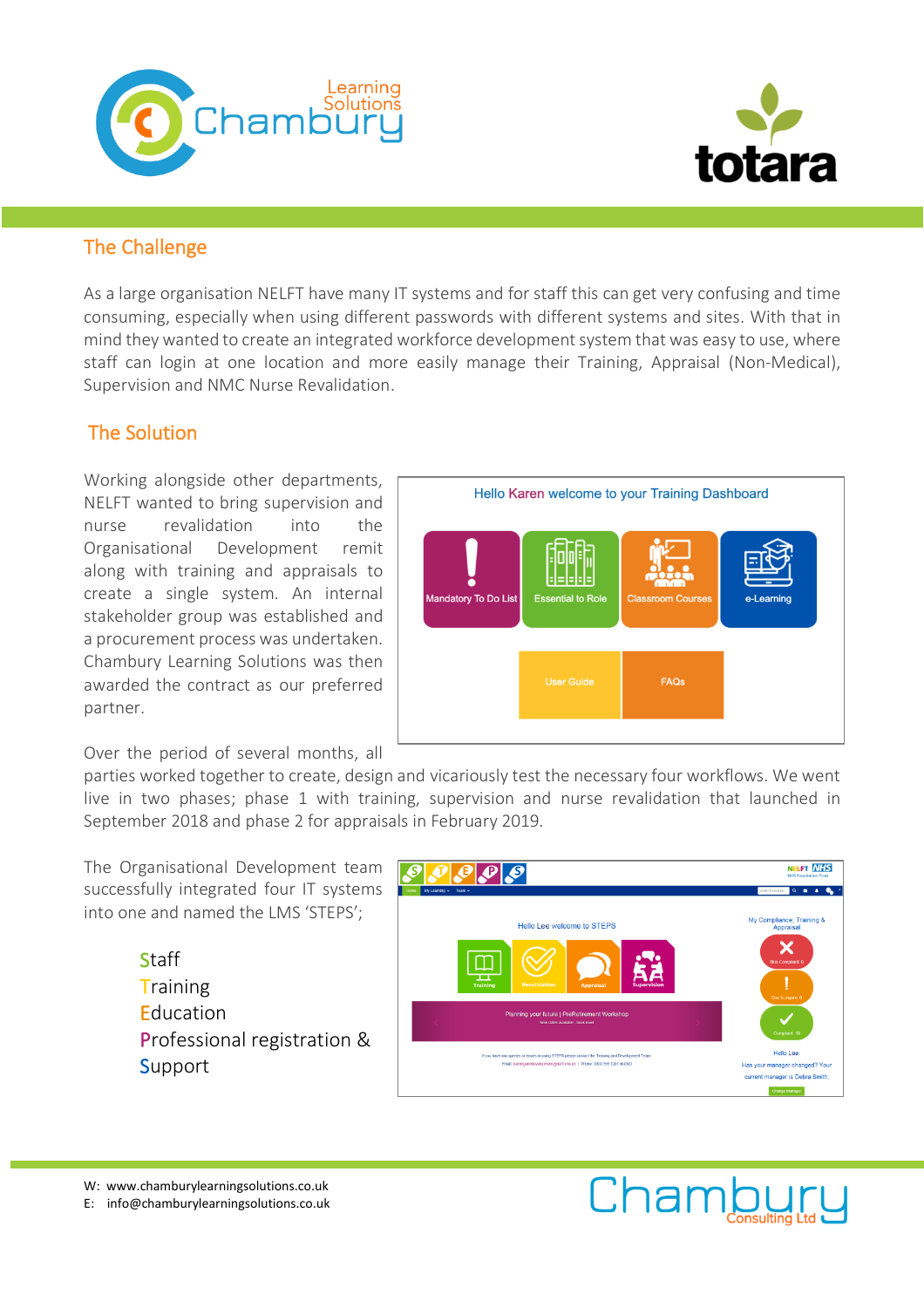



## The Challenge

As a large organisation NELFT have many IT systems and for staff this can get very confusing and time consuming, especially when using different passwords with different systems and sites. With that in mind they wanted to create an integrated workforce development system that was easy to use, where staff can login at one location and more easily manage their Training, Appraisal (Non-Medical), Supervision and NMC Nurse Revalidation.

## The Solution

Working alongside other departments, NELFT wanted to bring supervision and nurse revalidation into the Organisational Development remit along with training and appraisals to create a single system. An internal stakeholder group was established and a procurement process was undertaken. Chambury Learning Solutions was then awarded the contract as our preferred partner.

Over the period of several months, all

Hello Karen welcome to your Training Dashboard ═┠╛┠╛┠═ Mandatory To Do List **User Guide** FAQs

parties worked together to create, design and vicariously test the necessary four workflows. We went live in two phases; phase 1 with training, supervision and nurse revalidation that launched in September 2018 and phase 2 for appraisals in February 2019.

The Organisational Development team successfully integrated four IT systems into one and named the LMS 'STEPS';

> **Staff Training Education** Professional registration & **Support**



W: www.chamburylearningsolutions.co.uk E: info@chamburylearningsolutions.co.uk

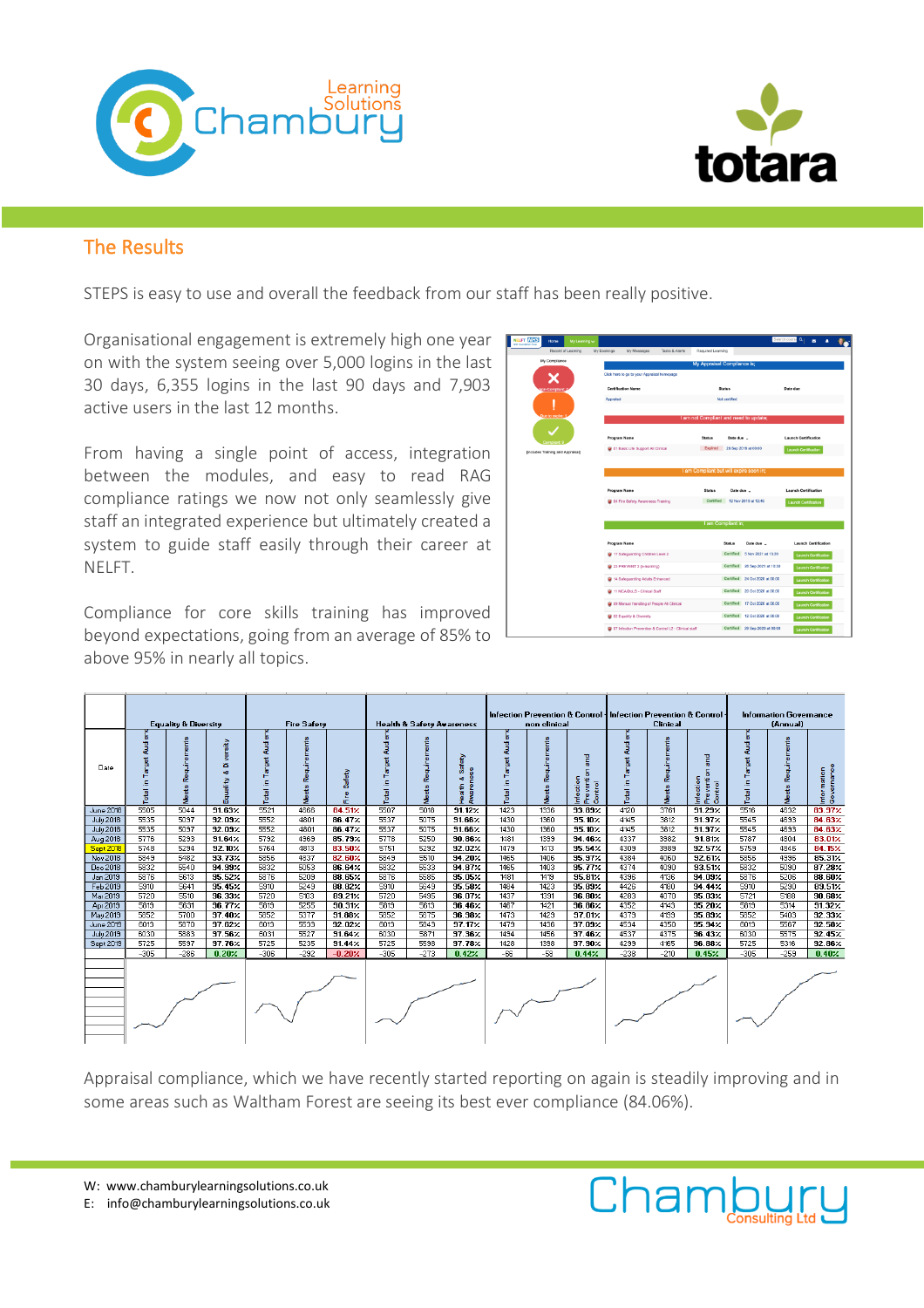



## The Results

STEPS is easy to use and overall the feedback from our staff has been really positive.

Organisational engagement is extremely high one year on with the system seeing over 5,000 logins in the last 30 days, 6,355 logins in the last 90 days and 7,903 active users in the last 12 months.

From having a single point of access, integration between the modules, and easy to read RAG compliance ratings we now not only seamlessly give staff an integrated experience but ultimately created a system to guide staff easily through their career at NELFT.

Compliance for core skills training has improved beyond expectations, going from an average of 85% to above 95% in nearly all topics.

| Home                           |                    |                                             |                                                                                  |                    |                                         |               |                                                                  |                             |                             |  |  |  |  |  |  |  |
|--------------------------------|--------------------|---------------------------------------------|----------------------------------------------------------------------------------|--------------------|-----------------------------------------|---------------|------------------------------------------------------------------|-----------------------------|-----------------------------|--|--|--|--|--|--|--|
|                                | Record of Learning | My Bookings                                 | My Messages                                                                      | Tasks & Alerts     | Required Learning                       |               |                                                                  |                             |                             |  |  |  |  |  |  |  |
| My Compliance                  |                    |                                             |                                                                                  |                    | My Appraisal Compliance is;             |               |                                                                  |                             |                             |  |  |  |  |  |  |  |
|                                |                    | Click here to go to your Appraisal homepage |                                                                                  |                    |                                         |               |                                                                  |                             |                             |  |  |  |  |  |  |  |
|                                |                    |                                             | <b>Certification Name</b>                                                        |                    |                                         | <b>Status</b> |                                                                  | Date due                    |                             |  |  |  |  |  |  |  |
| n-Compilant                    |                    | Accraisal                                   |                                                                                  |                    |                                         | Not certified |                                                                  |                             |                             |  |  |  |  |  |  |  |
|                                |                    |                                             |                                                                                  |                    |                                         |               |                                                                  |                             |                             |  |  |  |  |  |  |  |
| Due to expire:                 |                    | I am not Compliant and need to update;      |                                                                                  |                    |                                         |               |                                                                  |                             |                             |  |  |  |  |  |  |  |
|                                |                    |                                             |                                                                                  |                    |                                         |               |                                                                  |                             |                             |  |  |  |  |  |  |  |
| Compliant                      |                    |                                             | <b>Program Name</b>                                                              |                    | <b>Status</b>                           | Date due      |                                                                  | <b>Launch Certification</b> |                             |  |  |  |  |  |  |  |
| cludes Training and Appraisall |                    |                                             | 01 Basic Life Support All Clinical                                               |                    | Expired                                 |               | 28 Sep 2019 at 00:00                                             | Launch Certification        |                             |  |  |  |  |  |  |  |
|                                |                    |                                             |                                                                                  |                    |                                         |               |                                                                  |                             |                             |  |  |  |  |  |  |  |
|                                |                    |                                             |                                                                                  |                    | I am Compliant but will expire soon in; |               |                                                                  |                             |                             |  |  |  |  |  |  |  |
|                                |                    |                                             |                                                                                  |                    |                                         |               |                                                                  |                             |                             |  |  |  |  |  |  |  |
|                                |                    |                                             | <b>Program Name</b>                                                              |                    | <b>Status</b>                           | Date due      |                                                                  | <b>Launch Certification</b> |                             |  |  |  |  |  |  |  |
|                                |                    |                                             | 04 Fire Safety Awareness Training                                                |                    | Certified                               |               | 12 Nov 2019 at 12:46                                             | <b>Launch Gertification</b> |                             |  |  |  |  |  |  |  |
|                                |                    |                                             |                                                                                  |                    |                                         |               |                                                                  |                             |                             |  |  |  |  |  |  |  |
|                                |                    |                                             |                                                                                  | I am Compliant in; |                                         |               |                                                                  |                             |                             |  |  |  |  |  |  |  |
|                                |                    |                                             |                                                                                  |                    |                                         |               |                                                                  |                             |                             |  |  |  |  |  |  |  |
|                                |                    |                                             |                                                                                  |                    |                                         |               |                                                                  |                             |                             |  |  |  |  |  |  |  |
|                                |                    |                                             | <b>Program Name</b>                                                              |                    |                                         | <b>Status</b> | Date due                                                         | <b>Launch Certification</b> |                             |  |  |  |  |  |  |  |
|                                |                    |                                             | 17 Safeguarding Children Level 2                                                 |                    |                                         |               | Certified 5 Nov 2021 at 13:30                                    |                             | Launch Certification        |  |  |  |  |  |  |  |
|                                |                    |                                             | 23 PREVENT 2 (e-learning)                                                        |                    |                                         |               | Certified 26 Sep 2021 at 10:30                                   |                             | Launch Certification        |  |  |  |  |  |  |  |
|                                |                    |                                             | 14 Safeguarding Adults Enhanced                                                  |                    |                                         |               | Certified 24 Oct 2020 at 00:00                                   |                             | Launch Certification        |  |  |  |  |  |  |  |
|                                |                    |                                             | 11 MCA/DoLS - Clinical Staff                                                     |                    |                                         |               | Certified 20 Oct 2020 at 00:00                                   |                             |                             |  |  |  |  |  |  |  |
|                                |                    |                                             |                                                                                  |                    |                                         |               |                                                                  |                             | <b>Launch Certification</b> |  |  |  |  |  |  |  |
|                                |                    |                                             | C9 Manual Handing of People All Clinical                                         |                    |                                         |               | Certified 17 Oct 2020 at 00:00                                   | <b>Launch Certification</b> |                             |  |  |  |  |  |  |  |
|                                |                    |                                             | C2 Equality & Diversity<br>07 Infection Prevention & Control L2 - Clinical staff |                    |                                         |               | Certified 12 Oct 2020 at 00:00<br>Certified 29 Sep 2020 at 00:00 | <b>Launch Certification</b> |                             |  |  |  |  |  |  |  |

|                       | <b>Equality &amp; Diversity</b> |                      |                             | <b>Fire Safety</b>           |              |                   | <b>Health &amp; Safety Avareness</b> |              |                         | non clinical |              |                                             | Infection Prevention & Control Infection Prevention & Control .<br><b>Clinical</b> |              |                                     | <b>Information Governance</b><br>(Annual) |              |                           |
|-----------------------|---------------------------------|----------------------|-----------------------------|------------------------------|--------------|-------------------|--------------------------------------|--------------|-------------------------|--------------|--------------|---------------------------------------------|------------------------------------------------------------------------------------|--------------|-------------------------------------|-------------------------------------------|--------------|---------------------------|
| Date                  | ₩<br>arget<br>Ë<br>Ξ<br>Total   | quiremer<br>æ<br>sts | 4<br>ä<br>oð.<br>kilis<br>룖 | 毒<br>ā<br>arget<br>Ξ<br>otal | g<br>Requir  | Safety<br>은<br>ïΓ | च<br>ब्<br>Target<br>Ξ<br>Total      | Requir       | 蔼<br>oB.<br>ã           | 흉            | 킁<br>å       | 뫁<br>g<br>ventic<br>mection<br>Control<br>운 | arget<br>a,<br>Ë.                                                                  | æ            | rifection<br>verti<br>Control<br>£. | ₩<br>arget<br>Е<br>$\overline{a}$         | 팋<br>æ       | Information<br>Governance |
| <b>June 2018</b>      | 5505                            | 5044                 | 91.63%                      | 5521                         | 4666         | 84.51%            | 5507                                 | 5018         | $91.12\times$           | 1423         | 1336         | 93.89%                                      | 4120                                                                               | 3761         | 91.29%                              | 5516                                      | 4632         | 83.97%                    |
| <b>July 2018</b>      | 5535                            | 5097                 | 92.09%                      | 5552<br>5552                 | 4801         | 86.47%            | 5537                                 | 5075         | $91.66 \times$          | 1430         | 1360         | 35.10%                                      | 4145                                                                               | 3812         | 91.97 <sub>2</sub>                  | 5545                                      | 4693         | 84.63%                    |
| July 2018<br>Aug 2018 | 5535<br>5776                    | 5097<br>5293         | 92.09%<br>$91.64\times$     | 5792                         | 4801<br>4969 | 86.47%<br>85.79%  | 5537<br>5778                         | 5075<br>5250 | $91.66\times$<br>90.86% | 1430<br>1481 | 1360<br>1399 | 35.10%<br>94.46%                            | 4145<br>4337                                                                       | 3812<br>3982 | 91.97 <sub>2</sub><br>91.81/        | 5545<br>5787                              | 4693<br>4804 | 84.63%<br>83.01%          |
| <b>Sept 2018</b>      | 5748                            | 5294                 | 92.10%                      | 5764                         | 4813         | 83.50%            | 5751                                 | 5292         | 32.02%                  | 1479         | 1413         | 95.54 <sub>7</sub>                          | 4309                                                                               | 3989         | 32.57%                              | 5759                                      | 4846         | 84.15%                    |
| Nov 2018              | 5849                            | 5482                 | 93.73%                      | 5856                         | 4837         | 82.60%            | 5849                                 | 5510         | 34.20%                  | 1465         | 1406         | 95.97 <sub>2</sub>                          | 4384                                                                               | 4060         | 32.61%                              | 5856                                      | 4996         | 85.317                    |
| Dec 2018              | 5832                            | 5540                 | 94.99%                      | 5832                         | 5053         | 86.64%            | 5832                                 | 5533         | 94.87%                  | 1465         | 1403         | 95.77%                                      | 4374                                                                               | 4090         | 93.51%                              | 5832                                      | 5090         | 87.28%                    |
| Jan 2019              | 5876                            | 5613                 | 95.52%                      | 5876                         | 5209         | 88.65%            | 5876                                 | 5585         | 95.05%                  | 1481         | 1419         | 35.81%                                      | 4396                                                                               | 4136         | 34.03%                              | 5876                                      | 5206         | $88.60\times$             |
| Feb 2019              | 5910                            | 5641                 | 35.45%                      | 5910                         | 5249         | 88.82%            | 5910                                 | 5649         | $95.58\times$           | 1484         | 1423         | $95.89\times$                               | 4426                                                                               | 4180         | $34.44\times$                       | 5910                                      | 5290         | 89.512                    |
| Mar 2019              | 5720                            | 5510                 | 96.33%                      | 5720                         | 5103         | 89.21%            | 5720                                 | 5495         | 96.07%                  | 1437         | 1391         | 96.80%                                      | 4283                                                                               | 4070         | 95.032                              | 5721                                      | 5188         | $90.68\times$             |
| Apr 2019              | 5819                            | 5631                 | 96.77%                      | 5819                         | 5255         | 30.317            | 5819                                 | 5613         | <b>96.46%</b>           | 1467         | 1421         | 96.86%                                      | 4352                                                                               | 4143         | 35.20%                              | 5819                                      | 5314         | 91.32/                    |
| May 2019              | 5852                            | 5700                 | $97.40\times$               | 5852                         | 5377         | $31.88\times$     | 5852                                 | 5675         | $96.98\times$           | 1473         | 1429         | 37.017                                      | 4379                                                                               | 4199         | 35.83/                              | 5852                                      | 5403         | 92.337                    |
| <b>June 2019</b>      | 6013                            | 5870                 | 97.62%                      | 6013                         | 5533         | 92.02%            | 6013                                 | 5843         | 97.172                  | 1479         | 1436         | 97.09%                                      | 4534                                                                               | 4350         | 95.94 <sub>7</sub>                  | 6013                                      | 5567         | 92.58/                    |
| <b>July 2019</b>      | 6030                            | 5883                 | 97.56 <sub>2</sub>          | 6031                         | 5527         | $91.64\times$     | 6030                                 | 5871         | 97.36%                  | 1494         | 1456         | 97.46%                                      | 4537                                                                               | 4375         | 96.437                              | 6030                                      | 5575         | 92.45 <sub>7</sub>        |
| Sept 2019             | 5725                            | 5597                 | 97.76%                      | 5725                         | 5235         | 31.44             | 5725                                 | 5598         | $37.78\times$           | 1428         | 1398         | $97.90\times$                               | 4299                                                                               | 4165         | 36.88                               | 5725                                      | 5316         | $92.86\times$             |
|                       | $-305$                          | $-286$               | 0.20%                       | $-306$                       | $-292$       | $-0.20%$          | $-305$                               | $-273$       | 0.42%                   | $-66$        | $-58$        | 0.44%                                       | $-238$                                                                             | $-210$       | 0.45%                               | $-305$                                    | $-259$       | 0.40%                     |
|                       |                                 |                      |                             |                              |              |                   |                                      |              |                         |              |              |                                             |                                                                                    |              |                                     |                                           |              |                           |

Appraisal compliance, which we have recently started reporting on again is steadily improving and in some areas such as Waltham Forest are seeing its best ever compliance (84.06%).

W: www.chamburylearningsolutions.co.uk

E: info@chamburylearningsolutions.co.uk